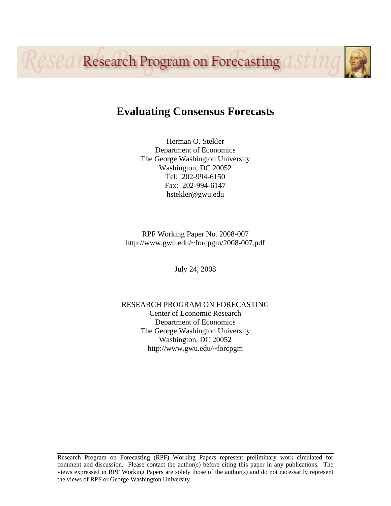Resea Research Program on Forecasting asting

# **Evaluating Consensus Forecasts**

Herman O. Stekler Department of Economics The George Washington University Washington, DC 20052 Tel: 202-994-6150 Fax: 202-994-6147 hstekler@gwu.edu

RPF Working Paper No. 2008-007 http://www.gwu.edu/~forcpgm/2008-007.pdf

July 24, 2008

RESEARCH PROGRAM ON FORECASTING Center of Economic Research Department of Economics The George Washington University Washington, DC 20052 http://www.gwu.edu/~forcpgm

Research Program on Forecasting (RPF) Working Papers represent preliminary work circulated for comment and discussion. Please contact the author(s) before citing this paper in any publications. The views expressed in RPF Working Papers are solely those of the author(s) and do not necessarily represent the views of RPF or George Washington University.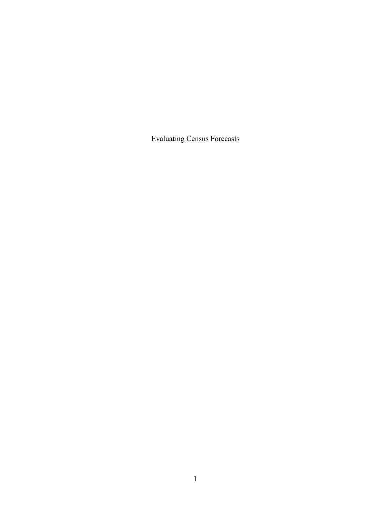Evaluating Census Forecasts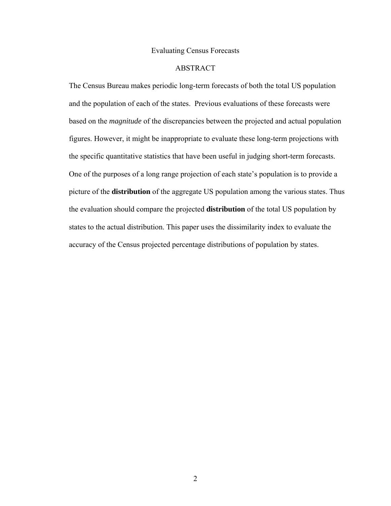#### Evaluating Census Forecasts

# ABSTRACT

The Census Bureau makes periodic long-term forecasts of both the total US population and the population of each of the states. Previous evaluations of these forecasts were based on the *magnitude* of the discrepancies between the projected and actual population figures. However, it might be inappropriate to evaluate these long-term projections with the specific quantitative statistics that have been useful in judging short-term forecasts. One of the purposes of a long range projection of each state's population is to provide a picture of the **distribution** of the aggregate US population among the various states. Thus the evaluation should compare the projected **distribution** of the total US population by states to the actual distribution. This paper uses the dissimilarity index to evaluate the accuracy of the Census projected percentage distributions of population by states.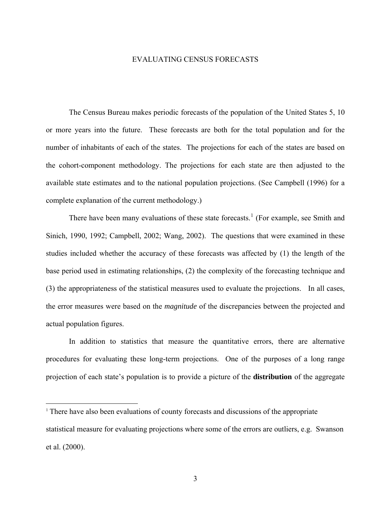#### EVALUATING CENSUS FORECASTS

The Census Bureau makes periodic forecasts of the population of the United States 5, 10 or more years into the future. These forecasts are both for the total population and for the number of inhabitants of each of the states. The projections for each of the states are based on the cohort-component methodology. The projections for each state are then adjusted to the available state estimates and to the national population projections. (See Campbell (1996) for a complete explanation of the current methodology.)

There have been many evaluations of these state forecasts.<sup>[1](#page-3-0)</sup> (For example, see Smith and Sinich, 1990, 1992; Campbell, 2002; Wang, 2002). The questions that were examined in these studies included whether the accuracy of these forecasts was affected by (1) the length of the base period used in estimating relationships, (2) the complexity of the forecasting technique and (3) the appropriateness of the statistical measures used to evaluate the projections. In all cases, the error measures were based on the *magnitude* of the discrepancies between the projected and actual population figures.

In addition to statistics that measure the quantitative errors, there are alternative procedures for evaluating these long-term projections. One of the purposes of a long range projection of each state's population is to provide a picture of the **distribution** of the aggregate

<u>.</u>

<span id="page-3-0"></span><sup>&</sup>lt;sup>1</sup> There have also been evaluations of county forecasts and discussions of the appropriate statistical measure for evaluating projections where some of the errors are outliers, e.g. Swanson et al. (2000).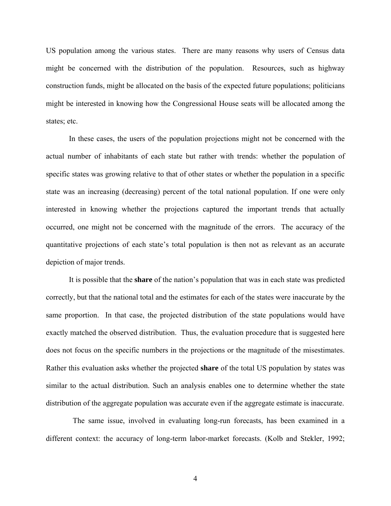US population among the various states. There are many reasons why users of Census data might be concerned with the distribution of the population. Resources, such as highway construction funds, might be allocated on the basis of the expected future populations; politicians might be interested in knowing how the Congressional House seats will be allocated among the states; etc.

In these cases, the users of the population projections might not be concerned with the actual number of inhabitants of each state but rather with trends: whether the population of specific states was growing relative to that of other states or whether the population in a specific state was an increasing (decreasing) percent of the total national population. If one were only interested in knowing whether the projections captured the important trends that actually occurred, one might not be concerned with the magnitude of the errors. The accuracy of the quantitative projections of each state's total population is then not as relevant as an accurate depiction of major trends.

It is possible that the **share** of the nation's population that was in each state was predicted correctly, but that the national total and the estimates for each of the states were inaccurate by the same proportion. In that case, the projected distribution of the state populations would have exactly matched the observed distribution. Thus, the evaluation procedure that is suggested here does not focus on the specific numbers in the projections or the magnitude of the misestimates. Rather this evaluation asks whether the projected **share** of the total US population by states was similar to the actual distribution. Such an analysis enables one to determine whether the state distribution of the aggregate population was accurate even if the aggregate estimate is inaccurate.

 The same issue, involved in evaluating long-run forecasts, has been examined in a different context: the accuracy of long-term labor-market forecasts. (Kolb and Stekler, 1992;

4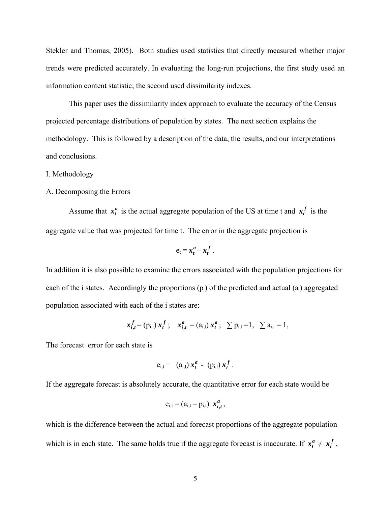Stekler and Thomas, 2005). Both studies used statistics that directly measured whether major trends were predicted accurately. In evaluating the long-run projections, the first study used an information content statistic; the second used dissimilarity indexes.

This paper uses the dissimilarity index approach to evaluate the accuracy of the Census projected percentage distributions of population by states. The next section explains the methodology. This is followed by a description of the data, the results, and our interpretations and conclusions.

#### I. Methodology

#### A. Decomposing the Errors

Assume that  $x_t^a$  is the actual aggregate population of the US at time t and  $x_t^f$  is the aggregate value that was projected for time t. The error in the aggregate projection is

$$
e_t = x_t^a - x_t^f.
$$

In addition it is also possible to examine the errors associated with the population projections for each of the i states. Accordingly the proportions  $(p_i)$  of the predicted and actual  $(a_i)$  aggregated population associated with each of the i states are:

$$
x_{i,t}^f = (p_{i,t}) x_t^f
$$
;  $x_{i,t}^a = (a_{i,t}) x_t^a$ ;  $\sum p_{i,t} = 1$ ,  $\sum a_{i,t} = 1$ ,

The forecast error for each state is

$$
e_{i,t} = (a_{i,t}) x_t^a - (p_{i,t}) x_t^f.
$$

If the aggregate forecast is absolutely accurate, the quantitative error for each state would be

$$
e_{i,t} = (a_{i,t} - p_{i,t}) x_{i,t}^a,
$$

which is the difference between the actual and forecast proportions of the aggregate population which is in each state. The same holds true if the aggregate forecast is inaccurate. If  $x_t^a \neq x_t^f$ ,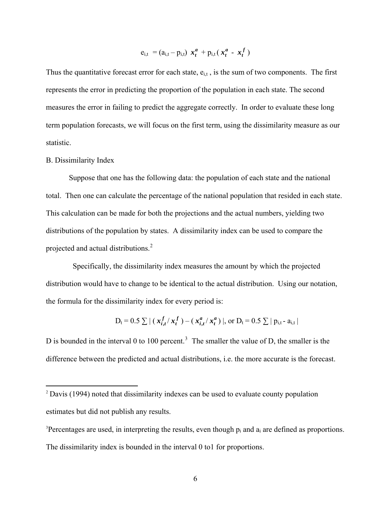$$
e_{i,t} = (a_{i,t} - p_{i,t}) x_t^a + p_{i,t} (x_t^a - x_t^f)
$$

Thus the quantitative forecast error for each state,  $e_{i,t}$ , is the sum of two components. The first represents the error in predicting the proportion of the population in each state. The second measures the error in failing to predict the aggregate correctly. In order to evaluate these long term population forecasts, we will focus on the first term, using the dissimilarity measure as our statistic.

#### B. Dissimilarity Index

1

Suppose that one has the following data: the population of each state and the national total. Then one can calculate the percentage of the national population that resided in each state. This calculation can be made for both the projections and the actual numbers, yielding two distributions of the population by states. A dissimilarity index can be used to compare the projected and actual distributions.[2](#page-6-0)

 Specifically, the dissimilarity index measures the amount by which the projected distribution would have to change to be identical to the actual distribution. Using our notation, the formula for the dissimilarity index for every period is:

$$
D_t = 0.5 \sum |(x_{i,t}^f / x_t^f) - (x_{i,t}^a / x_t^a) |, \text{ or } D_t = 0.5 \sum |p_{i,t} - a_{i,t}|
$$

D is bounded in the interval 0 to 100 percent.<sup>[3](#page-6-1)</sup> The smaller the value of D, the smaller is the difference between the predicted and actual distributions, i.e. the more accurate is the forecast.

<span id="page-6-0"></span><sup>2</sup> Davis (1994) noted that dissimilarity indexes can be used to evaluate county population estimates but did not publish any results.

<span id="page-6-1"></span><sup>&</sup>lt;sup>3</sup>Percentages are used, in interpreting the results, even though  $p_i$  and  $a_i$  are defined as proportions. The dissimilarity index is bounded in the interval 0 to1 for proportions.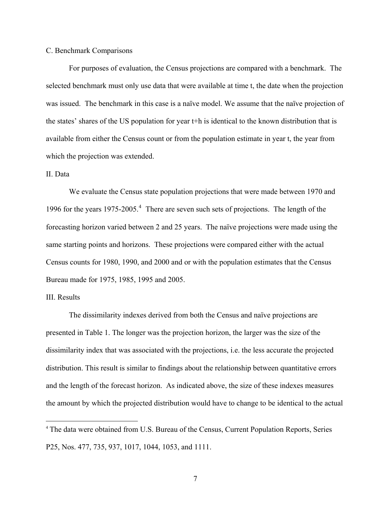#### C. Benchmark Comparisons

 For purposes of evaluation, the Census projections are compared with a benchmark. The selected benchmark must only use data that were available at time t, the date when the projection was issued. The benchmark in this case is a naïve model. We assume that the naïve projection of the states' shares of the US population for year t+h is identical to the known distribution that is available from either the Census count or from the population estimate in year t, the year from which the projection was extended.

### II. Data

 We evaluate the Census state population projections that were made between 1970 and 1996 for the years 1975-2005.<sup>[4](#page-7-0)</sup> There are seven such sets of projections. The length of the forecasting horizon varied between 2 and 25 years. The naïve projections were made using the same starting points and horizons. These projections were compared either with the actual Census counts for 1980, 1990, and 2000 and or with the population estimates that the Census Bureau made for 1975, 1985, 1995 and 2005.

## III. Results

 $\overline{a}$ 

 The dissimilarity indexes derived from both the Census and naïve projections are presented in Table 1. The longer was the projection horizon, the larger was the size of the dissimilarity index that was associated with the projections, i.e. the less accurate the projected distribution. This result is similar to findings about the relationship between quantitative errors and the length of the forecast horizon. As indicated above, the size of these indexes measures the amount by which the projected distribution would have to change to be identical to the actual

<span id="page-7-0"></span><sup>4</sup> The data were obtained from U.S. Bureau of the Census, Current Population Reports, Series P25, Nos. 477, 735, 937, 1017, 1044, 1053, and 1111.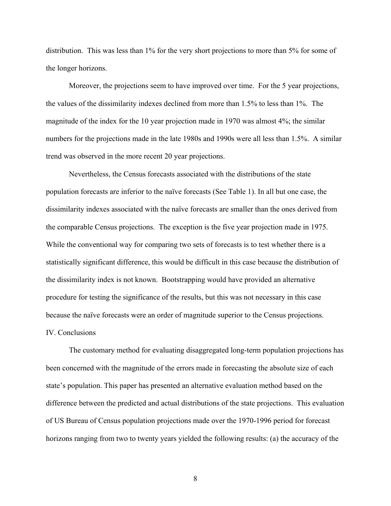distribution. This was less than 1% for the very short projections to more than 5% for some of the longer horizons.

Moreover, the projections seem to have improved over time. For the 5 year projections, the values of the dissimilarity indexes declined from more than 1.5% to less than 1%. The magnitude of the index for the 10 year projection made in 1970 was almost 4%; the similar numbers for the projections made in the late 1980s and 1990s were all less than 1.5%. A similar trend was observed in the more recent 20 year projections.

Nevertheless, the Census forecasts associated with the distributions of the state population forecasts are inferior to the naïve forecasts (See Table 1). In all but one case, the dissimilarity indexes associated with the naïve forecasts are smaller than the ones derived from the comparable Census projections. The exception is the five year projection made in 1975. While the conventional way for comparing two sets of forecasts is to test whether there is a statistically significant difference, this would be difficult in this case because the distribution of the dissimilarity index is not known. Bootstrapping would have provided an alternative procedure for testing the significance of the results, but this was not necessary in this case because the naïve forecasts were an order of magnitude superior to the Census projections. IV. Conclusions

 The customary method for evaluating disaggregated long-term population projections has been concerned with the magnitude of the errors made in forecasting the absolute size of each state's population. This paper has presented an alternative evaluation method based on the difference between the predicted and actual distributions of the state projections. This evaluation of US Bureau of Census population projections made over the 1970-1996 period for forecast horizons ranging from two to twenty years yielded the following results: (a) the accuracy of the

8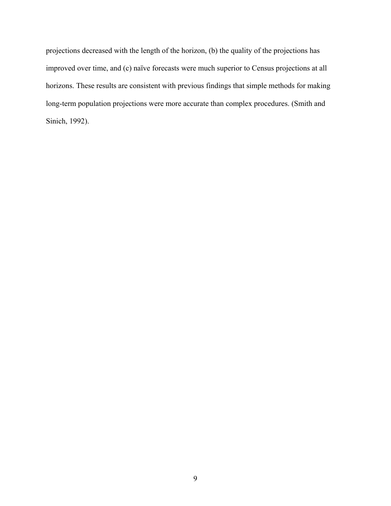projections decreased with the length of the horizon, (b) the quality of the projections has improved over time, and (c) naïve forecasts were much superior to Census projections at all horizons. These results are consistent with previous findings that simple methods for making long-term population projections were more accurate than complex procedures. (Smith and Sinich, 1992).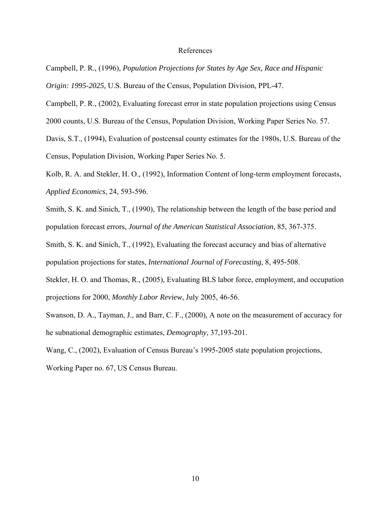#### References

- Campbell, P. R., (1996), *Population Projections for States by Age Sex, Race and Hispanic Origin: 1995-2025,* U.S. Bureau of the Census, Population Division, PPL-47.
- Campbell, P. R., (2002), Evaluating forecast error in state population projections using Census
- 2000 counts, U.S. Bureau of the Census, Population Division, Working Paper Series No. 57.
- Davis, S.T., (1994), Evaluation of postcensal county estimates for the 1980s, U.S. Bureau of the Census, Population Division, Working Paper Series No. 5.
- Kolb, R. A. and Stekler, H. O., (1992), Information Content of long-term employment forecasts, *Applied Economics*, 24, 593-596.
- Smith, S. K. and Sinich, T., (1990), The relationship between the length of the base period and population forecast errors, *Journal of the American Statistical Association*, 85, 367-375.
- Smith, S. K. and Sinich, T., (1992), Evaluating the forecast accuracy and bias of alternative population projections for states, *International Journal of Forecasting*, 8, 495-508.
- Stekler, H. O. and Thomas, R., (2005), Evaluating BLS labor force, employment, and occupation projections for 2000, *Monthly Labor Review*, July 2005, 46-56.
- Swanson, D. A., Tayman, J., and Barr, C. F., (2000), A note on the measurement of accuracy for he subnational demographic estimates, *Demography*, 37,193-201.
- Wang, C., (2002), Evaluation of Census Bureau's 1995-2005 state population projections,
- Working Paper no. 67, US Census Bureau.